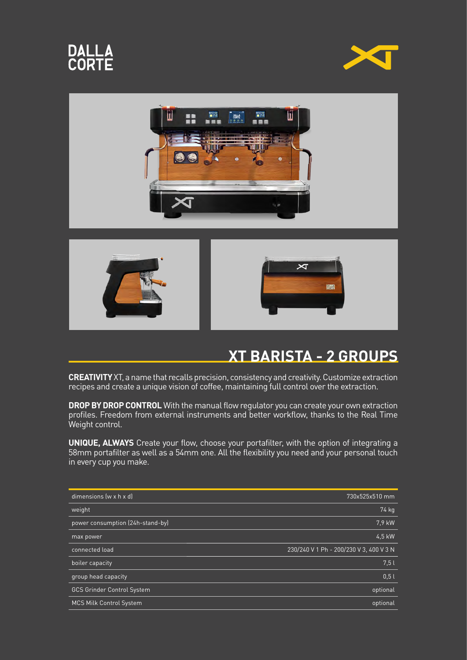









## **XT BARISTA - 2 GROUPS**

**CREATIVITY** XT, a name that recalls precision, consistency and creativity. Customize extraction recipes and create a unique vision of coffee, maintaining full control over the extraction.

**DROP BY DROP CONTROL** With the manual flow regulator you can create your own extraction profiles. Freedom from external instruments and better workflow, thanks to the Real Time Weight control.

**UNIQUE, ALWAYS** Create your flow, choose your portafilter, with the option of integrating a 58mm portafilter as well as a 54mm one. All the flexibility you need and your personal touch in every cup you make.

| dimensions (w x h x d)            | 730x525x510 mm                          |
|-----------------------------------|-----------------------------------------|
| weight                            | 74 kg                                   |
| power consumption (24h-stand-by)  | 7.9 kW                                  |
| max power                         | 4.5 kW                                  |
| connected load                    | 230/240 V 1 Ph - 200/230 V 3, 400 V 3 N |
| boiler capacity                   | 7.5l                                    |
| group head capacity               | 0.5l                                    |
| <b>GCS Grinder Control System</b> | optional                                |
| MCS Milk Control System           | optional                                |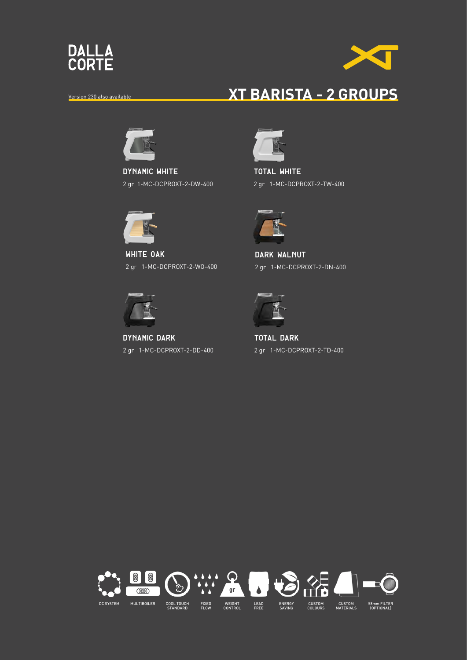



## Version 230 also available **XT BARISTA - 2 GROUPS**



**dynamic WHITE** 2 gr 1-MC-DCPROXT-2-DW-400



**white OAK** 2 gr 1-MC-DCPROXT-2-WO-400



**dynamic dark** 2 gr 1-MC-DCPROXT-2-DD-400



**total white** 2 gr 1-MC-DCPROXT-2-TW-400



**DARK WALNUT** 2 gr 1-MC-DCPROXT-2-DN-400



**total dark** 2 gr 1-MC-DCPROXT-2-TD-400

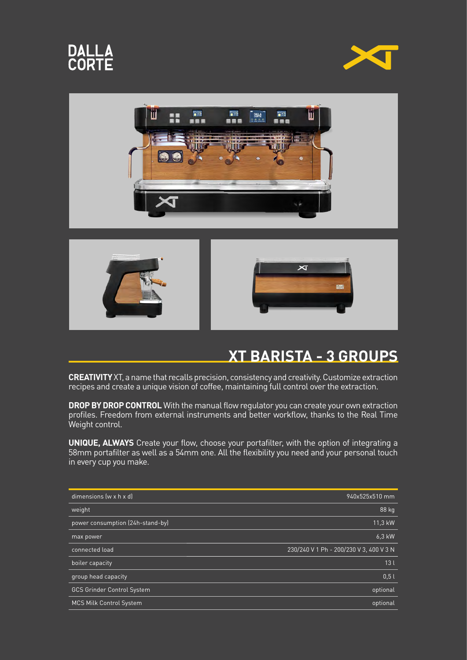









## **XT BARISTA - 3 GROUPS**

**CREATIVITY** XT, a name that recalls precision, consistency and creativity. Customize extraction recipes and create a unique vision of coffee, maintaining full control over the extraction.

**DROP BY DROP CONTROL** With the manual flow regulator you can create your own extraction profiles. Freedom from external instruments and better workflow, thanks to the Real Time Weight control.

**UNIQUE, ALWAYS** Create your flow, choose your portafilter, with the option of integrating a 58mm portafilter as well as a 54mm one. All the flexibility you need and your personal touch in every cup you make.

| dimensions (w x h x d)            | 940x525x510 mm                          |
|-----------------------------------|-----------------------------------------|
| weight                            | 88 kg                                   |
| power consumption (24h-stand-by)  | 11,3 kW                                 |
| max power                         | 6.3 kW                                  |
| connected load                    | 230/240 V 1 Ph - 200/230 V 3, 400 V 3 N |
| boiler capacity                   | 13 <sub>l</sub>                         |
| group head capacity               | 0.51                                    |
| <b>GCS Grinder Control System</b> | optional                                |
| <b>MCS Milk Control System</b>    | optional                                |